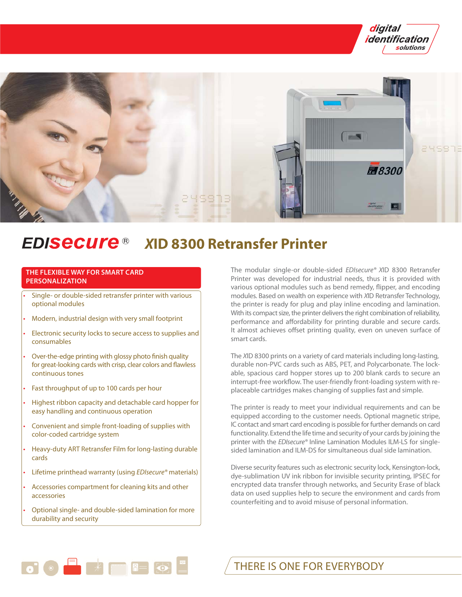



### **EDISECUre®** *X***ID 8300 Retransfer Printer**

# **THE FLEXIBLE WAY FOR SMART CARD PERSONALIZATION**

- Single- or double-sided retransfer printer with various optional modules
- Modern, industrial design with very small footprint
- Electronic security locks to secure access to supplies and consumables
- Over-the-edge printing with glossy photo finish quality for great-looking cards with crisp, clear colors and flawless continuous tones
- Fast throughput of up to 100 cards per hour
- Highest ribbon capacity and detachable card hopper for easy handling and continuous operation
- Convenient and simple front-loading of supplies with color-coded cartridge system
- Heavy-duty ART Retransfer Film for long-lasting durable cards
- Lifetime printhead warranty (using EDIsecure® materials)
- Accessories compartment for cleaning kits and other accessories
- Optional single- and double-sided lamination for more durability and security

 $\bullet$   $\bullet$   $\blacksquare$   $\blacksquare$   $\blacksquare$   $\blacksquare$   $\blacksquare$   $\blacksquare$   $\blacksquare$   $\blacksquare$   $\blacksquare$   $\blacksquare$   $\blacksquare$   $\blacksquare$   $\blacksquare$   $\blacksquare$   $\blacksquare$   $\blacksquare$   $\blacksquare$   $\blacksquare$   $\blacksquare$   $\blacksquare$   $\blacksquare$   $\blacksquare$   $\blacksquare$   $\blacksquare$   $\blacksquare$   $\blacksquare$   $\blacksquare$   $\blacksquare$   $\blacksquare$   $\blacksquare$ 

The modular single-or double-sided EDIsecure® XID 8300 Retransfer Printer was developed for industrial needs, thus it is provided with various optional modules such as bend remedy, flipper, and encoding modules. Based on wealth on experience with XID Retransfer Technology, the printer is ready for plug and play inline encoding and lamination. With its compact size, the printer delivers the right combination of reliability, performance and affordability for printing durable and secure cards. It almost achieves offset printing quality, even on uneven surface of smart cards.

The XID 8300 prints on a variety of card materials including long-lasting, durable non-PVC cards such as ABS, PET, and Polycarbonate. The lockable, spacious card hopper stores up to 200 blank cards to secure an interrupt-free workflow. The user-friendly front-loading system with replaceable cartridges makes changing of supplies fast and simple.

The printer is ready to meet your individual requirements and can be equipped according to the customer needs. Optional magnetic stripe, IC contact and smart card encoding is possible for further demands on card functionality. Extend the life time and security of your cards by joining the printer with the EDIsecure® Inline Lamination Modules ILM-LS for singlesided lamination and ILM-DS for simultaneous dual side lamination.

Diverse security features such as electronic security lock, Kensington-lock, dye-sublimation UV ink ribbon for invisible security printing, IPSEC for encrypted data transfer through networks, and Security Erase of black data on used supplies help to secure the environment and cards from counterfeiting and to avoid misuse of personal information.

THERE IS ONE FOR EVERYBODY